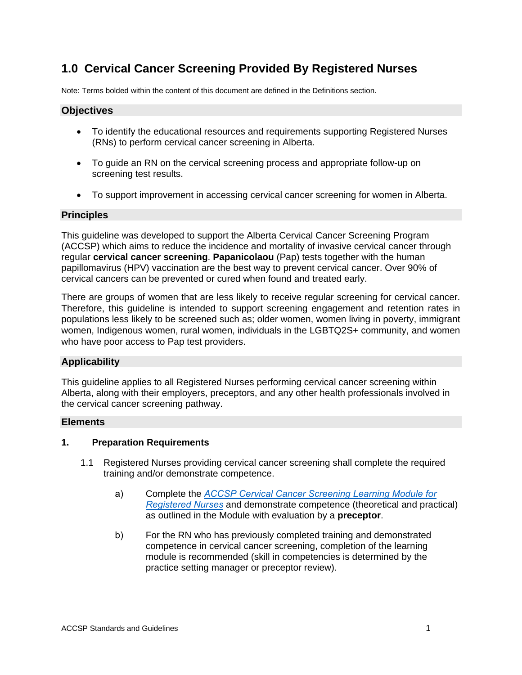### **1.0 Cervical Cancer Screening Provided By Registered Nurses**

Note: Terms bolded within the content of this document are defined in the Definitions section.

#### **Objectives**

- To identify the educational resources and requirements supporting Registered Nurses (RNs) to perform cervical cancer screening in Alberta.
- To guide an RN on the cervical screening process and appropriate follow-up on screening test results.
- To support improvement in accessing cervical cancer screening for women in Alberta.

#### **Principles**

This guideline was developed to support the Alberta Cervical Cancer Screening Program (ACCSP) which aims to reduce the incidence and mortality of invasive cervical cancer through regular **cervical cancer screening**. **Papanicolaou** (Pap) tests together with the human papillomavirus (HPV) vaccination are the best way to prevent cervical cancer. Over 90% of cervical cancers can be prevented or cured when found and treated early.

There are groups of women that are less likely to receive regular screening for cervical cancer. Therefore, this guideline is intended to support screening engagement and retention rates in populations less likely to be screened such as; older women, women living in poverty, immigrant women, Indigenous women, rural women, individuals in the LGBTQ2S+ community, and women who have poor access to Pap test providers.

#### **Applicability**

This guideline applies to all Registered Nurses performing cervical cancer screening within Alberta, along with their employers, preceptors, and any other health professionals involved in the cervical cancer screening pathway.

#### **Elements**

#### **1. Preparation Requirements**

- 1.1 Registered Nurses providing cervical cancer screening shall complete the required training and/or demonstrate competence.
	- a) Complete the *ACCSP Cervical Cancer Screening Learning Module for Registered Nurses* [and demonstrate competence \(theoretical](https://screeningforlife.ca/wp-content/uploads/RN-CCS-Learning-Module.pdf) and practical) as outlined in the Module with evaluation by a **preceptor**.
	- b) For the RN who has previously completed training and demonstrated competence in cervical cancer screening, completion of the learning module is recommended (skill in competencies is determined by the practice setting manager or preceptor review).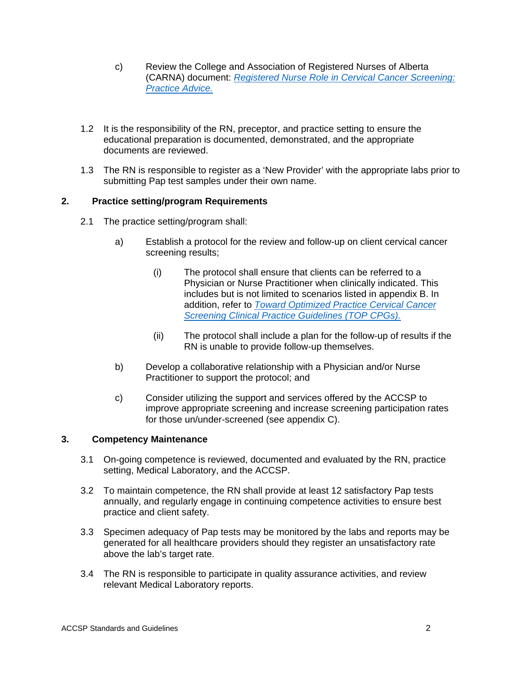- c) Review the College and Association of Registered Nurses of Alberta (CARNA) document: *[Registered Nurse Role in Cervical Cancer Screening:](https://nurses.ab.ca/docs/default-source/document-library/practice-advice/registered-nurse-role-in-cervical-cancer-screening.pdf?sfvrsn=dc75f8fd_10) [Practice Advice.](https://nurses.ab.ca/docs/default-source/document-library/practice-advice/registered-nurse-role-in-cervical-cancer-screening.pdf?sfvrsn=dc75f8fd_10)*
- 1.2 It is the responsibility of the RN, preceptor, and practice setting to ensure the educational preparation is documented, demonstrated, and the appropriate documents are reviewed.
- 1.3 The RN is responsible to register as a 'New Provider' with the appropriate labs prior to submitting Pap test samples under their own name.

#### **2. Practice setting/program Requirements**

- 2.1 The practice setting/program shall:
	- a) Establish a protocol for the review and follow-up on client cervical cancer screening results;
		- (i) The protocol shall ensure that clients can be referred to a Physician or Nurse Practitioner when clinically indicated. This includes but is not limited to scenarios listed in appendix B. In addition, refer to *Toward [Optimized Practice Cervical Cancer](https://actt.albertadoctors.org/CPGs/Pages/Cervical-Cancer-Screening.aspx) [Screening Clinical Practice Guidelines \(TOP CPGs\).](https://actt.albertadoctors.org/CPGs/Pages/Cervical-Cancer-Screening.aspx)*
		- (ii) The protocol shall include a plan for the follow-up of results if the RN is unable to provide follow-up themselves.
	- b) Develop a collaborative relationship with a Physician and/or Nurse Practitioner to support the protocol; and
	- c) Consider utilizing the support and services offered by the ACCSP to improve appropriate screening and increase screening participation rates for those un/under-screened (see appendix C).

#### **3. Competency Maintenance**

- 3.1 On-going competence is reviewed, documented and evaluated by the RN, practice setting, Medical Laboratory, and the ACCSP.
- 3.2 To maintain competence, the RN shall provide at least 12 satisfactory Pap tests annually, and regularly engage in continuing competence activities to ensure best practice and client safety.
- 3.3 Specimen adequacy of Pap tests may be monitored by the labs and reports may be generated for all healthcare providers should they register an unsatisfactory rate above the lab's target rate.
- 3.4 The RN is responsible to participate in quality assurance activities, and review relevant Medical Laboratory reports.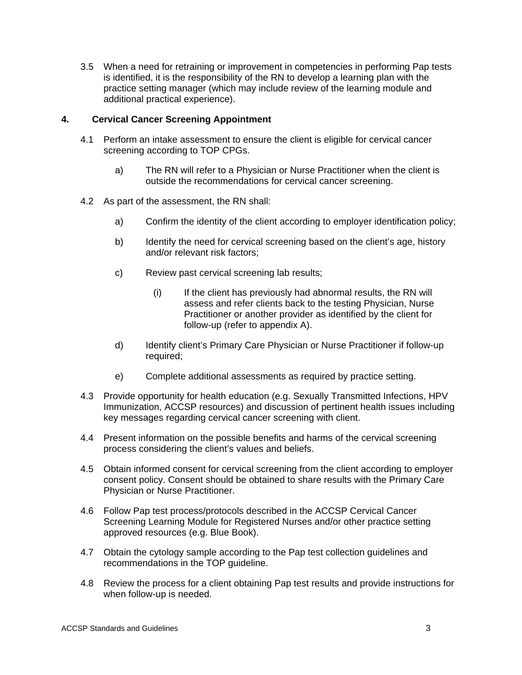3.5 When a need for retraining or improvement in competencies in performing Pap tests is identified, it is the responsibility of the RN to develop a learning plan with the practice setting manager (which may include review of the learning module and additional practical experience).

#### **4. Cervical Cancer Screening Appointment**

- 4.1 Perform an intake assessment to ensure the client is eligible for cervical cancer screening according to TOP CPGs.
	- a) The RN will refer to a Physician or Nurse Practitioner when the client is outside the recommendations for cervical cancer screening.
- 4.2 As part of the assessment, the RN shall:
	- a) Confirm the identity of the client according to employer identification policy;
	- b) Identify the need for cervical screening based on the client's age, history and/or relevant risk factors;
	- c) Review past cervical screening lab results;
		- (i) If the client has previously had abnormal results, the RN will assess and refer clients back to the testing Physician, Nurse Practitioner or another provider as identified by the client for follow-up (refer to appendix A).
	- d) Identify client's Primary Care Physician or Nurse Practitioner if follow-up required;
	- e) Complete additional assessments as required by practice setting.
- 4.3 Provide opportunity for health education (e.g. Sexually Transmitted Infections, HPV Immunization, ACCSP resources) and discussion of pertinent health issues including key messages regarding cervical cancer screening with client.
- 4.4 Present information on the possible benefits and harms of the cervical screening process considering the client's values and beliefs.
- 4.5 Obtain informed consent for cervical screening from the client according to employer consent policy. Consent should be obtained to share results with the Primary Care Physician or Nurse Practitioner.
- 4.6 Follow Pap test process/protocols described in the ACCSP Cervical Cancer Screening Learning Module for Registered Nurses and/or other practice setting approved resources (e.g. Blue Book).
- 4.7 Obtain the cytology sample according to the Pap test collection guidelines and recommendations in the TOP guideline.
- 4.8 Review the process for a client obtaining Pap test results and provide instructions for when follow-up is needed.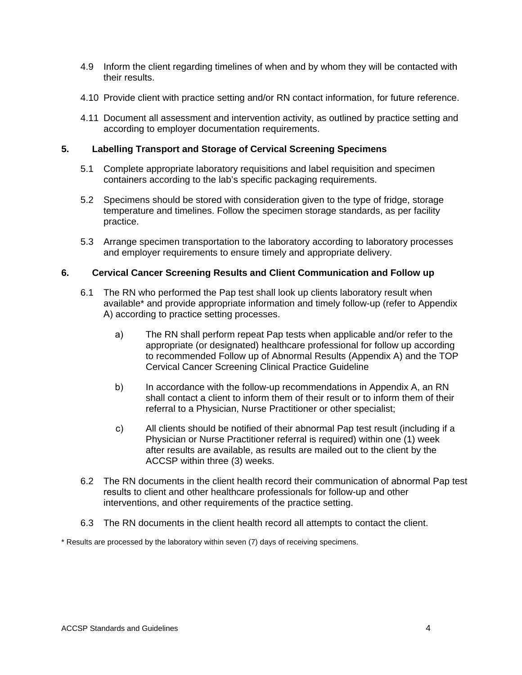- 4.9 Inform the client regarding timelines of when and by whom they will be contacted with their results.
- 4.10 Provide client with practice setting and/or RN contact information, for future reference.
- 4.11 Document all assessment and intervention activity, as outlined by practice setting and according to employer documentation requirements.

#### **5. Labelling Transport and Storage of Cervical Screening Specimens**

- 5.1 Complete appropriate laboratory requisitions and label requisition and specimen containers according to the lab's specific packaging requirements.
- 5.2 Specimens should be stored with consideration given to the type of fridge, storage temperature and timelines. Follow the specimen storage standards, as per facility practice.
- 5.3 Arrange specimen transportation to the laboratory according to laboratory processes and employer requirements to ensure timely and appropriate delivery.

#### **6. Cervical Cancer Screening Results and Client Communication and Follow up**

- 6.1 The RN who performed the Pap test shall look up clients laboratory result when available\* and provide appropriate information and timely follow-up (refer to Appendix A) according to practice setting processes.
	- a) The RN shall perform repeat Pap tests when applicable and/or refer to the appropriate (or designated) healthcare professional for follow up according to recommended Follow up of Abnormal Results (Appendix A) and the TOP Cervical Cancer Screening Clinical Practice Guideline
	- b) In accordance with the follow-up recommendations in Appendix A, an RN shall contact a client to inform them of their result or to inform them of their referral to a Physician, Nurse Practitioner or other specialist;
	- c) All clients should be notified of their abnormal Pap test result (including if a Physician or Nurse Practitioner referral is required) within one (1) week after results are available, as results are mailed out to the client by the ACCSP within three (3) weeks.
- 6.2 The RN documents in the client health record their communication of abnormal Pap test results to client and other healthcare professionals for follow-up and other interventions, and other requirements of the practice setting.
- 6.3 The RN documents in the client health record all attempts to contact the client.

\* Results are processed by the laboratory within seven (7) days of receiving specimens.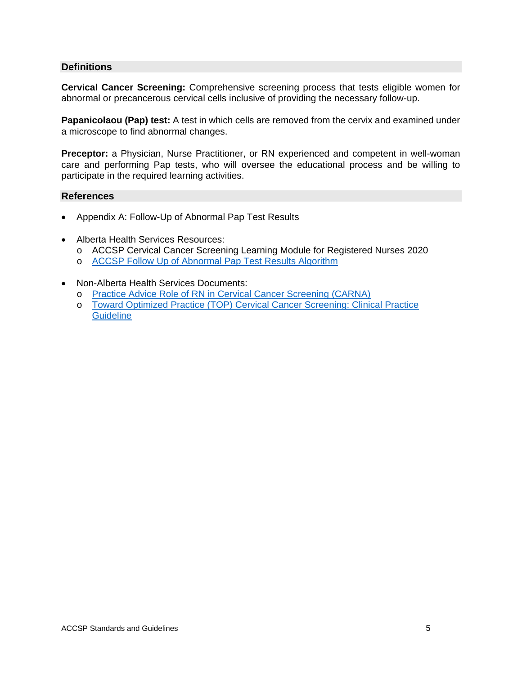#### **Definitions**

**Cervical Cancer Screening:** Comprehensive screening process that tests eligible women for abnormal or precancerous cervical cells inclusive of providing the necessary follow-up.

**Papanicolaou (Pap) test:** A test in which cells are removed from the cervix and examined under a microscope to find abnormal changes.

**Preceptor:** a Physician, Nurse Practitioner, or RN experienced and competent in well-woman care and performing Pap tests, who will oversee the educational process and be willing to participate in the required learning activities.

#### **References**

- Appendix A: Follow-Up of Abnormal Pap Test Results
- Alberta Health Services Resources:
	- o ACCSP Cervical Cancer Screening Learning Module for Registered Nurses 2020
	- o [ACCSP Follow Up of Abnormal Pap Test Results Algorithm](https://screeningforlife.ca/wp-content/uploads/2019/12/ACCSP-Does-My-Patient-Need-a-Referral-to-Colposcopy-May-2016.pdf)
- Non-Alberta Health Services Documents:
	- o [Practice Advice Role of RN in Cervical Cancer Screening \(CARNA\)](https://nurses.ab.ca/docs/default-source/document-library/practice-advice/registered-nurse-role-in-cervical-cancer-screening.pdf?sfvrsn=dc75f8fd_10)
	- o [Toward Optimized Practice \(TOP\) Cervical Cancer Screening: Clinical Practice](https://actt.albertadoctors.org/CPGs/Pages/Cervical-Cancer-Screening.aspx) **[Guideline](https://actt.albertadoctors.org/CPGs/Pages/Cervical-Cancer-Screening.aspx)**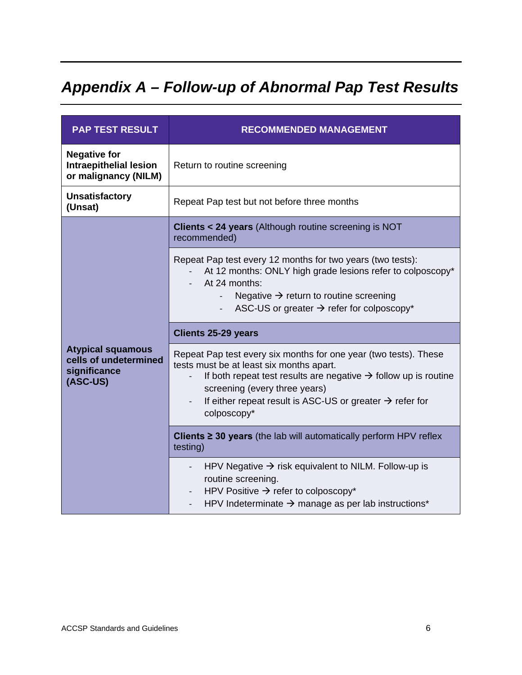# *Appendix A – Follow-up of Abnormal Pap Test Results*

| <b>PAP TEST RESULT</b>                                                        | <b>RECOMMENDED MANAGEMENT</b>                                                                                                                                                                                                                                                                                       |  |
|-------------------------------------------------------------------------------|---------------------------------------------------------------------------------------------------------------------------------------------------------------------------------------------------------------------------------------------------------------------------------------------------------------------|--|
| <b>Negative for</b><br><b>Intraepithelial lesion</b><br>or malignancy (NILM)  | Return to routine screening                                                                                                                                                                                                                                                                                         |  |
| <b>Unsatisfactory</b><br>(Unsat)                                              | Repeat Pap test but not before three months                                                                                                                                                                                                                                                                         |  |
| <b>Atypical squamous</b><br>cells of undetermined<br>significance<br>(ASC-US) | Clients < 24 years (Although routine screening is NOT<br>recommended)                                                                                                                                                                                                                                               |  |
|                                                                               | Repeat Pap test every 12 months for two years (two tests):<br>At 12 months: ONLY high grade lesions refer to colposcopy*<br>At 24 months:<br>Negative $\rightarrow$ return to routine screening<br>ASC-US or greater $\rightarrow$ refer for colposcopy*                                                            |  |
|                                                                               | <b>Clients 25-29 years</b>                                                                                                                                                                                                                                                                                          |  |
|                                                                               | Repeat Pap test every six months for one year (two tests). These<br>tests must be at least six months apart.<br>If both repeat test results are negative $\rightarrow$ follow up is routine<br>screening (every three years)<br>If either repeat result is ASC-US or greater $\rightarrow$ refer for<br>colposcopy* |  |
|                                                                               | Clients $\geq$ 30 years (the lab will automatically perform HPV reflex<br>testing)                                                                                                                                                                                                                                  |  |
|                                                                               | HPV Negative $\rightarrow$ risk equivalent to NILM. Follow-up is<br>routine screening.<br>HPV Positive $\rightarrow$ refer to colposcopy*<br>$\overline{\phantom{a}}$<br>HPV Indeterminate $\rightarrow$ manage as per lab instructions*                                                                            |  |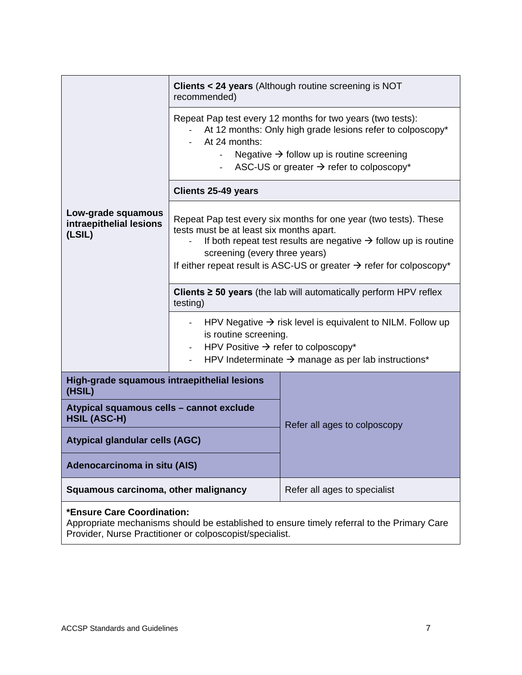|                                                                 | <b>Clients &lt; 24 years</b> (Although routine screening is NOT<br>recommended)                                                                                                                                                                                                                                  |                              |  |
|-----------------------------------------------------------------|------------------------------------------------------------------------------------------------------------------------------------------------------------------------------------------------------------------------------------------------------------------------------------------------------------------|------------------------------|--|
|                                                                 | Repeat Pap test every 12 months for two years (two tests):<br>At 12 months: Only high grade lesions refer to colposcopy*<br>At 24 months:<br>Negative $\rightarrow$ follow up is routine screening<br>$\overline{a}$<br>ASC-US or greater $\rightarrow$ refer to colposcopy*<br>$\blacksquare$                   |                              |  |
|                                                                 | <b>Clients 25-49 years</b>                                                                                                                                                                                                                                                                                       |                              |  |
| Low-grade squamous<br>intraepithelial lesions<br>(LSIL)         | Repeat Pap test every six months for one year (two tests). These<br>tests must be at least six months apart.<br>If both repeat test results are negative $\rightarrow$ follow up is routine<br>screening (every three years)<br>If either repeat result is ASC-US or greater $\rightarrow$ refer for colposcopy* |                              |  |
|                                                                 | Clients $\geq$ 50 years (the lab will automatically perform HPV reflex<br>testing)                                                                                                                                                                                                                               |                              |  |
|                                                                 | HPV Negative $\rightarrow$ risk level is equivalent to NILM. Follow up<br>is routine screening.<br>HPV Positive $\rightarrow$ refer to colposcopy*<br>HPV Indeterminate $\rightarrow$ manage as per lab instructions*                                                                                            |                              |  |
| High-grade squamous intraepithelial lesions<br>(HSIL)           |                                                                                                                                                                                                                                                                                                                  |                              |  |
| Atypical squamous cells - cannot exclude<br><b>HSIL (ASC-H)</b> |                                                                                                                                                                                                                                                                                                                  | Refer all ages to colposcopy |  |
| <b>Atypical glandular cells (AGC)</b>                           |                                                                                                                                                                                                                                                                                                                  |                              |  |
| Adenocarcinoma in situ (AIS)                                    |                                                                                                                                                                                                                                                                                                                  |                              |  |
| Squamous carcinoma, other malignancy                            |                                                                                                                                                                                                                                                                                                                  | Refer all ages to specialist |  |
| *Ensure Care Coordination:                                      |                                                                                                                                                                                                                                                                                                                  |                              |  |

Appropriate mechanisms should be established to ensure timely referral to the Primary Care Provider, Nurse Practitioner or colposcopist/specialist.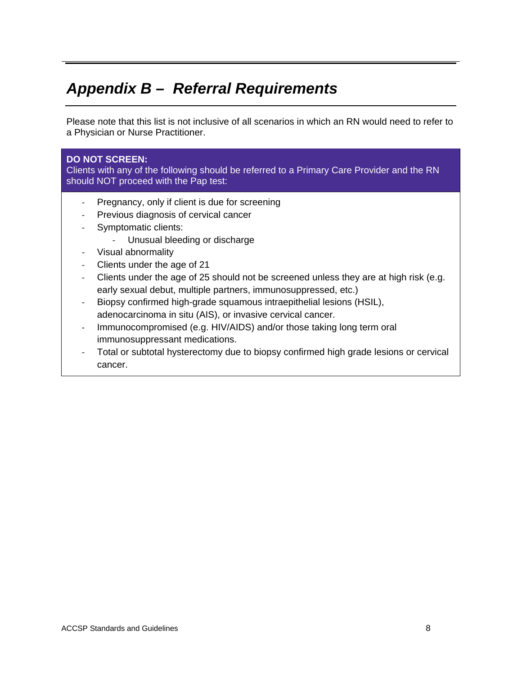## *Appendix B – Referral Requirements*

Please note that this list is not inclusive of all scenarios in which an RN would need to refer to a Physician or Nurse Practitioner.

#### **DO NOT SCREEN:**

Clients with any of the following should be referred to a Primary Care Provider and the RN should NOT proceed with the Pap test:

- Pregnancy, only if client is due for screening
- Previous diagnosis of cervical cancer
- Symptomatic clients:
	- Unusual bleeding or discharge
- Visual abnormality
- Clients under the age of 21
- Clients under the age of 25 should not be screened unless they are at high risk (e.g. early sexual debut, multiple partners, immunosuppressed, etc.)
- Biopsy confirmed high-grade squamous intraepithelial lesions (HSIL), adenocarcinoma in situ (AIS), or invasive cervical cancer.
- Immunocompromised (e.g. HIV/AIDS) and/or those taking long term oral immunosuppressant medications.
- Total or subtotal hysterectomy due to biopsy confirmed high grade lesions or cervical cancer.